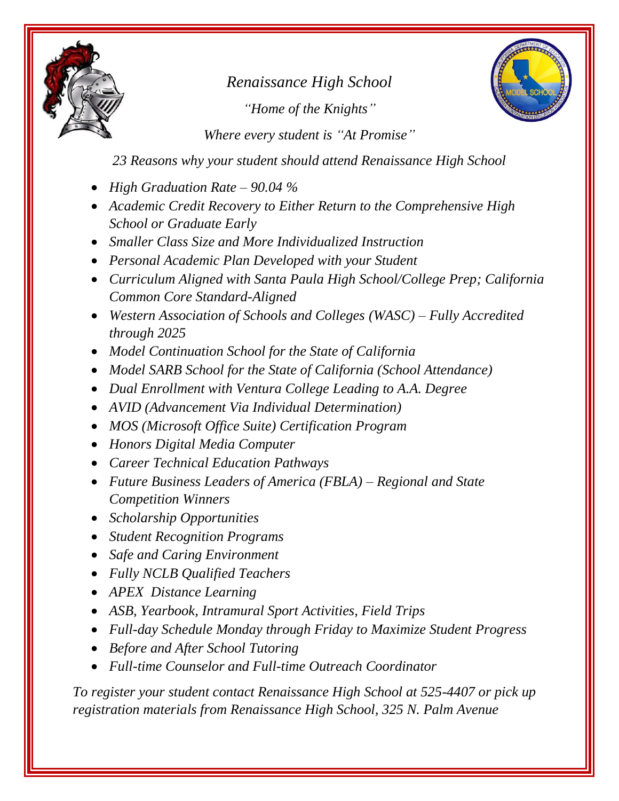

*Renaissance High School "Home of the Knights"*



*Where every student is "At Promise"*

*23 Reasons why your student should attend Renaissance High School*

- *High Graduation Rate – 90.04 %*
- *Academic Credit Recovery to Either Return to the Comprehensive High School or Graduate Early*
- *Smaller Class Size and More Individualized Instruction*
- *Personal Academic Plan Developed with your Student*
- *Curriculum Aligned with Santa Paula High School/College Prep; California Common Core Standard-Aligned*
- *Western Association of Schools and Colleges (WASC) – Fully Accredited through 2025*
- *Model Continuation School for the State of California*
- *Model SARB School for the State of California (School Attendance)*
- *Dual Enrollment with Ventura College Leading to A.A. Degree*
- *AVID (Advancement Via Individual Determination)*
- *MOS (Microsoft Office Suite) Certification Program*
- *Honors Digital Media Computer*
- *Career Technical Education Pathways*
- *Future Business Leaders of America (FBLA) – Regional and State Competition Winners*
- *Scholarship Opportunities*
- *Student Recognition Programs*
- *Safe and Caring Environment*
- *Fully NCLB Qualified Teachers*
- *APEX Distance Learning*
- *ASB, Yearbook, Intramural Sport Activities, Field Trips*
- *Full-day Schedule Monday through Friday to Maximize Student Progress*
- *Before and After School Tutoring*
- *Full-time Counselor and Full-time Outreach Coordinator*

*To register your student contact Renaissance High School at 525-4407 or pick up registration materials from Renaissance High School, 325 N. Palm Avenue*